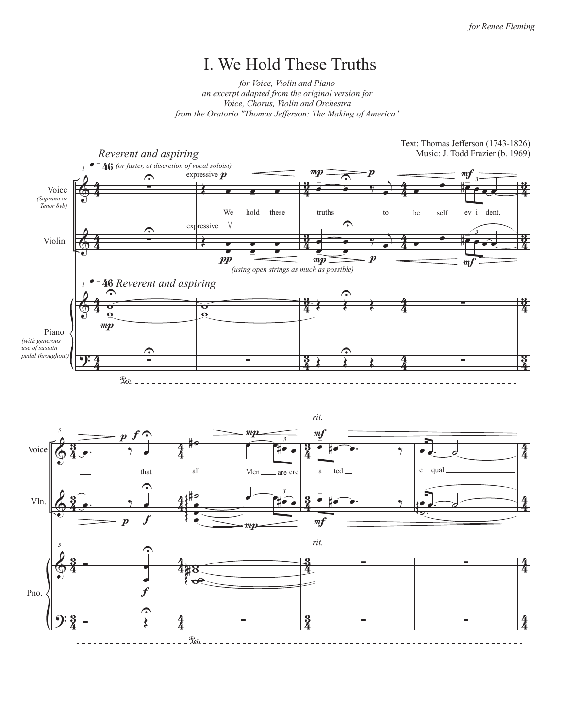## I. We Hold These Truths

*for Voice, Violin and Piano an excerpt adapted from the original version for Voice, Chorus, Violin and Orchestra from the Oratorio "Thomas Jefferson: The Making of America"*



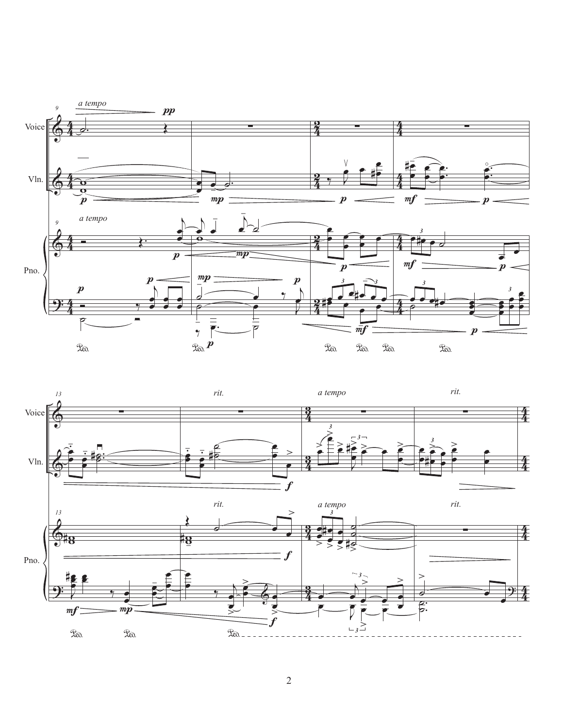

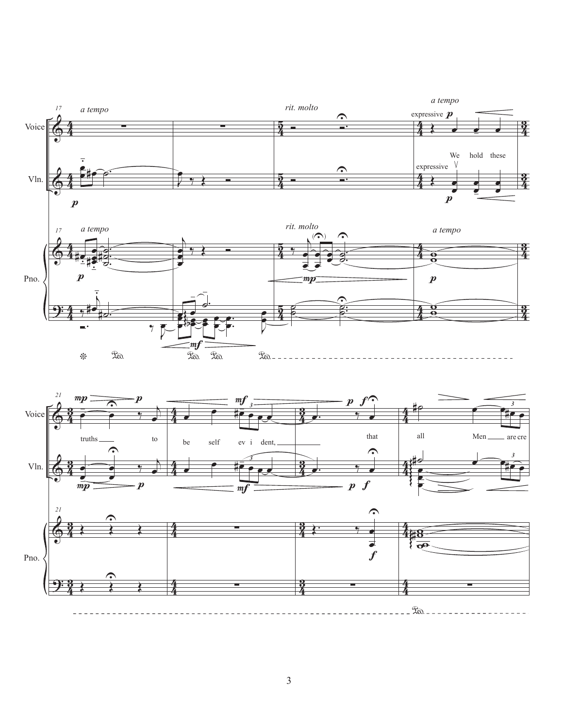

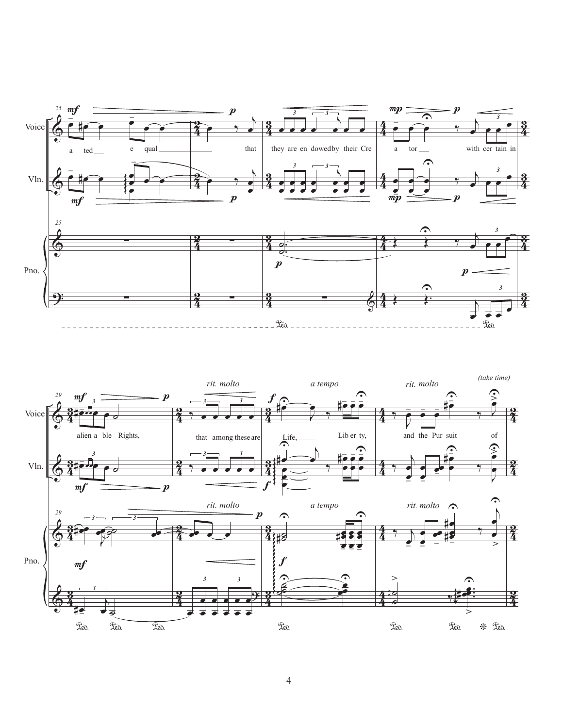

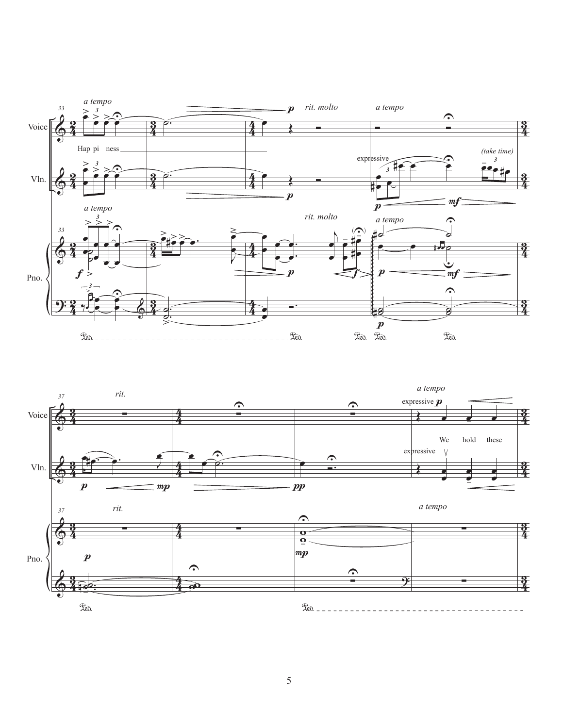

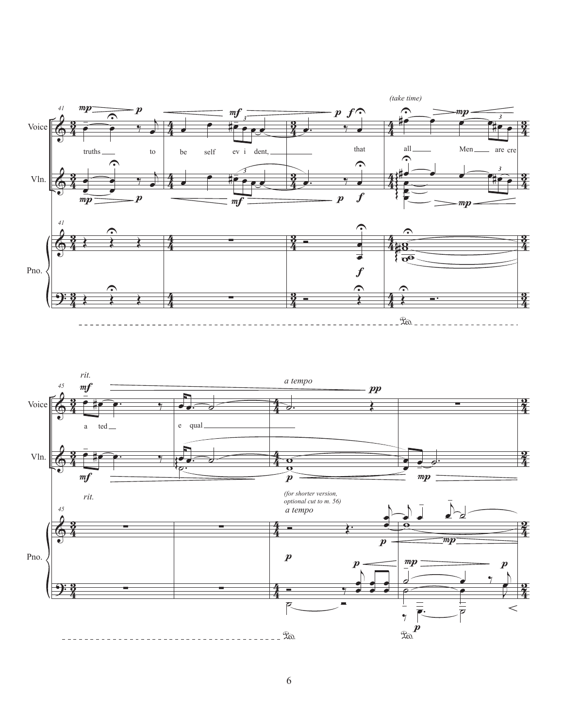

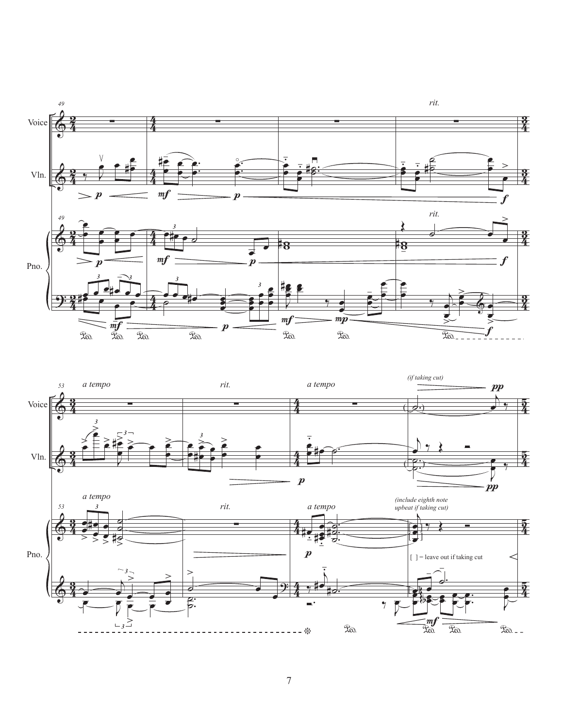





7